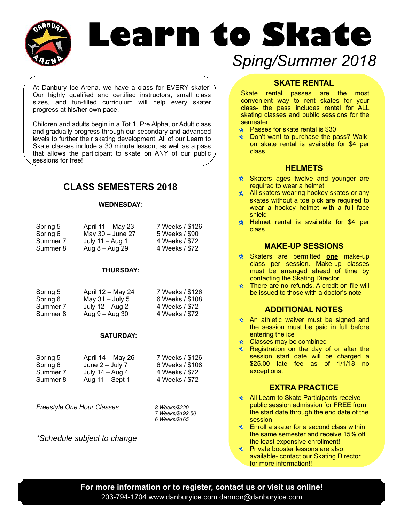

# **Learn to Skate**  *Sping/Summer 2018*

At Danbury Ice Arena, we have a class for EVERY skater! Our highly qualified and certified instructors, small class sizes, and fun-filled curriculum will help every skater progress at his/her own pace.

Children and adults begin in a Tot 1, Pre Alpha, or Adult class and gradually progress through our secondary and advanced levels to further their skating development. All of our Learn to Skate classes include a 30 minute lesson, as well as a pass that allows the participant to skate on ANY of our public sessions for free!

## **CLASS SEMESTERS 2018**

#### **WEDNESDAY:**

| Spring 5 | April 11 - May 23  | 7 Weeks / \$126 |
|----------|--------------------|-----------------|
| Spring 6 | May $30 -$ June 27 | 5 Weeks / \$90  |
| Summer 7 | July $11 -$ Aug 1  | 4 Weeks / \$72  |
| Summer 8 | Aug 8 – Aug 29     | 4 Weeks / \$72  |

#### **THURSDAY:**

| Spring 5 | April 12 – May 24 | 7 Weeks / \$126 |
|----------|-------------------|-----------------|
| Spring 6 | May $31 -$ July 5 | 6 Weeks / \$108 |
| Summer 7 | July $12 - Aug 2$ | 4 Weeks / \$72  |
| Summer 8 | Aug 9 – Aug 30    | 4 Weeks / \$72  |

#### **SATURDAY:**

| Spring 5 | April $14 - May 26$ | 7 Weeks / \$126 |
|----------|---------------------|-----------------|
| Spring 6 | June $2 -$ July 7   | 6 Weeks / \$108 |
| Summer 7 | July $14 - Aug 4$   | 4 Weeks / \$72  |
| Summer 8 | Aug 11 – Sept 1     | 4 Weeks / \$72  |

*Freestyle One Hour Classes 8 Weeks/\$220*

*7 Weeks/\$192.50 6 Weeks/\$165*

*\*Schedule subject to change*

#### **SKATE RENTAL**

Skate rental passes are the most convenient way to rent skates for your class- the pass includes rental for ALL skating classes and public sessions for the semester

- $\star$  Passes for skate rental is \$30
- $\star$  Don't want to purchase the pass? Walkon skate rental is available for \$4 per class

#### **HELMETS**

- $\star$  Skaters ages twelve and younger are required to wear a helmet
- $\angle$  All skaters wearing hockey skates or any skates without a toe pick are required to wear a hockey helmet with a full face shield
- $\angle$  Helmet rental is available for \$4 per class

#### **MAKE-UP SESSIONS**

- Skaters are permitted **one** make-up class per session. Make-up classes must be arranged ahead of time by contacting the Skating Director
- $\star$  There are no refunds. A credit on file will be issued to those with a doctor's note

#### **ADDITIONAL NOTES**

- $\angle$  An athletic waiver must be signed and the session must be paid in full before entering the ice
- $\star$  Classes may be combined
- $\angle$  Registration on the day of or after the session start date will be charged a \$25.00 late fee as of 1/1/18 no exceptions.

#### **EXTRA PRACTICE**

- $\angle$  All Learn to Skate Participants receive public session admission for FREE from the start date through the end date of the session
- $\star$  Enroll a skater for a second class within the same semester and receive 15% off the least expensive enrollment!
- $\star$  Private booster lessons are also available- contact our Skating Director for more information!!

**For more information or to register, contact us or visit us online!** 203-794-1704 www.danburyice.com dannon@danburyice.com